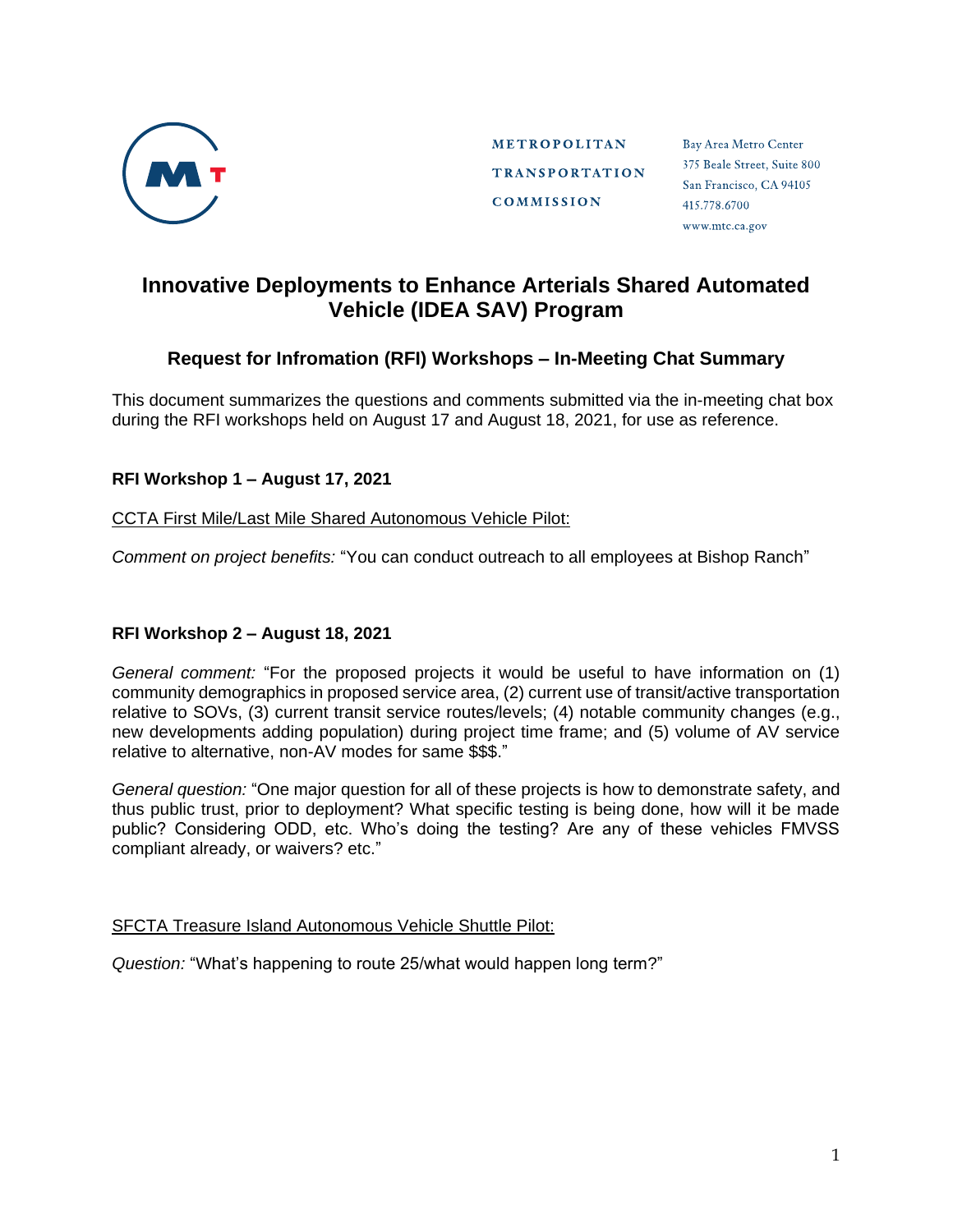

**METROPOLITAN TRANSPORTATION COMMISSION** 

Bay Area Metro Center 375 Beale Street, Suite 800 San Francisco, CA 94105 415.778.6700 www.mtc.ca.gov

# **Innovative Deployments to Enhance Arterials Shared Automated Vehicle (IDEA SAV) Program**

# **Request for Infromation (RFI) Workshops – In-Meeting Chat Summary**

This document summarizes the questions and comments submitted via the in-meeting chat box during the RFI workshops held on August 17 and August 18, 2021, for use as reference.

## **RFI Workshop 1 – August 17, 2021**

## CCTA First Mile/Last Mile Shared Autonomous Vehicle Pilot:

*Comment on project benefits:* "You can conduct outreach to all employees at Bishop Ranch"

## **RFI Workshop 2 – August 18, 2021**

*General comment:* "For the proposed projects it would be useful to have information on (1) community demographics in proposed service area, (2) current use of transit/active transportation relative to SOVs, (3) current transit service routes/levels; (4) notable community changes (e.g., new developments adding population) during project time frame; and (5) volume of AV service relative to alternative, non-AV modes for same \$\$\$."

*General question:* "One major question for all of these projects is how to demonstrate safety, and thus public trust, prior to deployment? What specific testing is being done, how will it be made public? Considering ODD, etc. Who's doing the testing? Are any of these vehicles FMVSS compliant already, or waivers? etc."

#### SFCTA Treasure Island Autonomous Vehicle Shuttle Pilot:

*Question:* "What's happening to route 25/what would happen long term?"